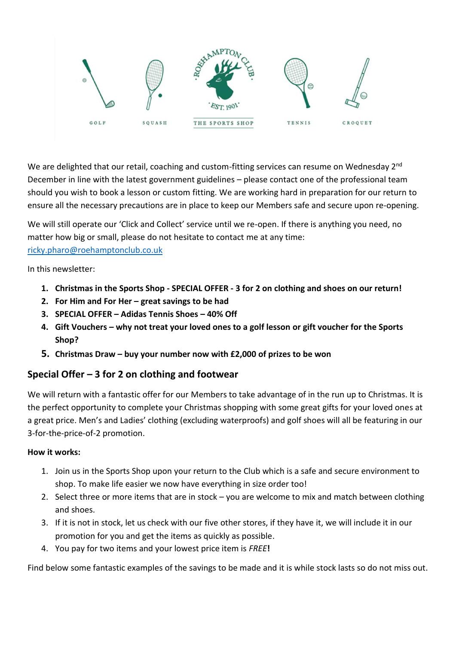

We are delighted that our retail, coaching and custom-fitting services can resume on Wednesday 2<sup>nd</sup> December in line with the latest government guidelines – please contact one of the professional team should you wish to book a lesson or custom fitting. We are working hard in preparation for our return to ensure all the necessary precautions are in place to keep our Members safe and secure upon re-opening.

We will still operate our 'Click and Collect' service until we re-open. If there is anything you need, no matter how big or small, please do not hesitate to contact me at any time: [ricky.pharo@roehamptonclub.co.uk](mailto:ricky.pharo@roehamptonclub.co.uk)

In this newsletter:

- **1. Christmas in the Sports Shop - SPECIAL OFFER - 3 for 2 on clothing and shoes on our return!**
- **2. For Him and For Her – great savings to be had**
- **3. SPECIAL OFFER – Adidas Tennis Shoes – 40% Off**
- **4. Gift Vouchers – why not treat your loved ones to a golf lesson or gift voucher for the Sports Shop?**
- **5. Christmas Draw – buy your number now with £2,000 of prizes to be won**

## **Special Offer – 3 for 2 on clothing and footwear**

We will return with a fantastic offer for our Members to take advantage of in the run up to Christmas. It is the perfect opportunity to complete your Christmas shopping with some great gifts for your loved ones at a great price. Men's and Ladies' clothing (excluding waterproofs) and golf shoes will all be featuring in our 3-for-the-price-of-2 promotion.

### **How it works:**

- 1. Join us in the Sports Shop upon your return to the Club which is a safe and secure environment to shop. To make life easier we now have everything in size order too!
- 2. Select three or more items that are in stock you are welcome to mix and match between clothing and shoes.
- 3. If it is not in stock, let us check with our five other stores, if they have it, we will include it in our promotion for you and get the items as quickly as possible.
- 4. You pay for two items and your lowest price item is *FREE***!**

Find below some fantastic examples of the savings to be made and it is while stock lasts so do not miss out.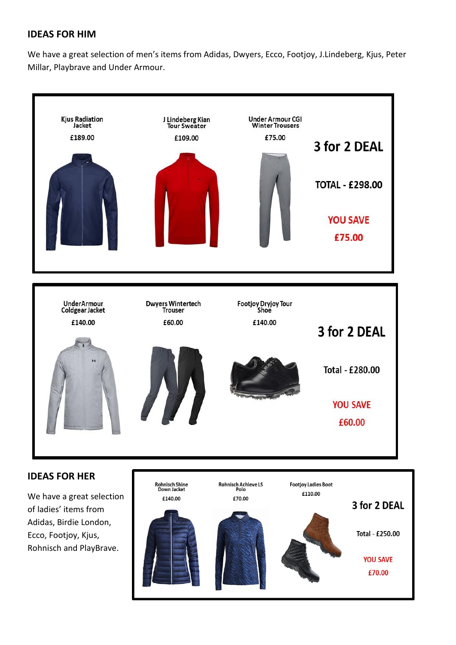## **IDEAS FOR HIM**

We have a great selection of men's items from Adidas, Dwyers, Ecco, Footjoy, J.Lindeberg, Kjus, Peter Millar, Playbrave and Under Armour.

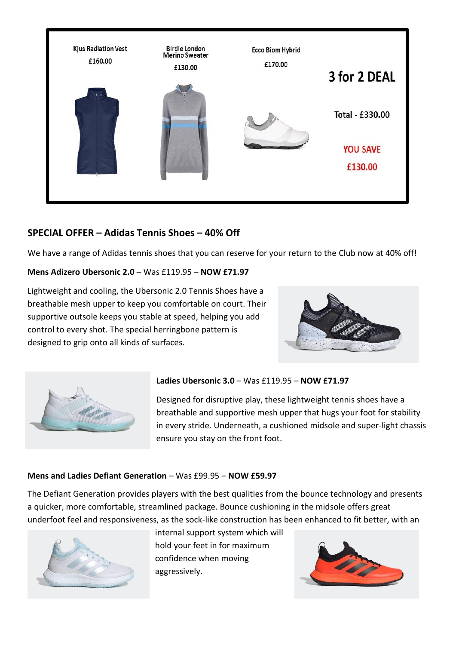

## **SPECIAL OFFER – Adidas Tennis Shoes – 40% Off**

We have a range of Adidas tennis shoes that you can reserve for your return to the Club now at 40% off!

#### **Mens Adizero Ubersonic 2.0** – Was £119.95 – **NOW £71.97**

Lightweight and cooling, the Ubersonic 2.0 Tennis Shoes have a breathable mesh upper to keep you comfortable on court. Their supportive outsole keeps you stable at speed, helping you add control to every shot. The special herringbone pattern is designed to grip onto all kinds of surfaces.





### **Ladies Ubersonic 3.0** – Was £119.95 – **NOW £71.97**

Designed for disruptive play, these lightweight tennis shoes have a breathable and supportive mesh upper that hugs your foot for stability in every stride. Underneath, a cushioned midsole and super-light chassis ensure you stay on the front foot.

#### **Mens and Ladies Defiant Generation** – Was £99.95 – **NOW £59.97**

The Defiant Generation provides players with the best qualities from the bounce technology and presents a quicker, more comfortable, streamlined package. Bounce cushioning in the midsole offers great underfoot feel and responsiveness, as the sock-like construction has been enhanced to fit better, with an



internal support system which will hold your feet in for maximum confidence when moving aggressively.

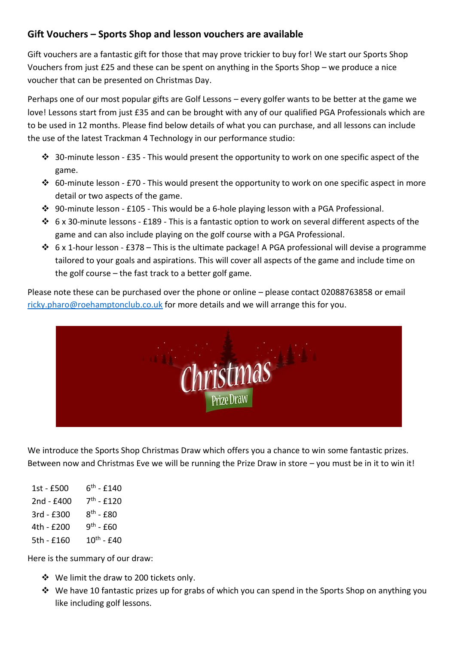# **Gift Vouchers – Sports Shop and lesson vouchers are available**

Gift vouchers are a fantastic gift for those that may prove trickier to buy for! We start our Sports Shop Vouchers from just £25 and these can be spent on anything in the Sports Shop – we produce a nice voucher that can be presented on Christmas Day.

Perhaps one of our most popular gifts are Golf Lessons – every golfer wants to be better at the game we love! Lessons start from just £35 and can be brought with any of our qualified PGA Professionals which are to be used in 12 months. Please find below details of what you can purchase, and all lessons can include the use of the latest Trackman 4 Technology in our performance studio:

- ❖ 30-minute lesson £35 This would present the opportunity to work on one specific aspect of the game.
- $\cdot$  60-minute lesson £70 This would present the opportunity to work on one specific aspect in more detail or two aspects of the game.
- ❖ 90-minute lesson £105 This would be a 6-hole playing lesson with a PGA Professional.
- ❖ 6 x 30-minute lessons £189 This is a fantastic option to work on several different aspects of the game and can also include playing on the golf course with a PGA Professional.
- ❖ 6 x 1-hour lesson £378 This is the ultimate package! A PGA professional will devise a programme tailored to your goals and aspirations. This will cover all aspects of the game and include time on the golf course – the fast track to a better golf game.

Please note these can be purchased over the phone or online – please contact 02088763858 or email [ricky.pharo@roehamptonclub.co.uk](mailto:ricky.pharo@roehamptonclub.co.uk) for more details and we will arrange this for you.



We introduce the Sports Shop Christmas Draw which offers you a chance to win some fantastic prizes. Between now and Christmas Eve we will be running the Prize Draw in store – you must be in it to win it!

| 1st - £500 | $6^{\text{th}}$ - £140 |
|------------|------------------------|
| 2nd - £400 | $7th - £120$           |
| 3rd - £300 | $8th - £80$            |
| 4th - £200 | $9th - £60$            |
| 5th - £160 | $10^{th} - £40$        |

Here is the summary of our draw:

- ❖ We limit the draw to 200 tickets only.
- ❖ We have 10 fantastic prizes up for grabs of which you can spend in the Sports Shop on anything you like including golf lessons.